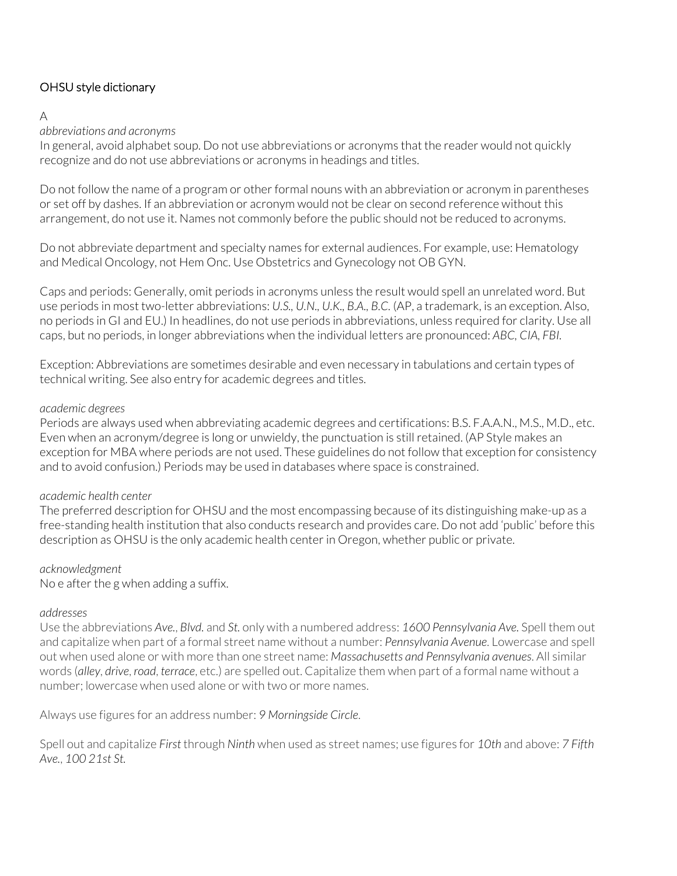# OHSU style dictionary

## A

## *abbreviations and acronyms*

In general, avoid alphabet soup. Do not use abbreviations or acronyms that the reader would not quickly recognize and do not use abbreviations or acronyms in headings and titles.

Do not follow the name of a program or other formal nouns with an abbreviation or acronym in parentheses or set off by dashes. If an abbreviation or acronym would not be clear on second reference without this arrangement, do not use it. Names not commonly before the public should not be reduced to acronyms.

Do not abbreviate department and specialty names for external audiences. For example, use: Hematology and Medical Oncology, not Hem Onc. Use Obstetrics and Gynecology not OB GYN*.* 

Caps and periods: Generally, omit periods in acronyms unless the result would spell an unrelated word. But use periods in most two-letter abbreviations: *U.S., U.N., U.K., B.A., B.C.* (AP, a trademark, is an exception. Also, no periods in GI and EU.) In headlines, do not use periods in abbreviations, unless required for clarity. Use all caps, but no periods, in longer abbreviations when the individual letters are pronounced: *ABC, CIA, FBI.*

Exception: Abbreviations are sometimes desirable and even necessary in tabulations and certain types of technical writing. See also entry for academic degrees and titles.

### *academic degrees*

Periods are always used when abbreviating academic degrees and certifications: B.S. F.A.A.N., M.S., M.D., etc. Even when an acronym/degree is long or unwieldy, the punctuation is still retained. (AP Style makes an exception for MBA where periods are not used. These guidelines do not follow that exception for consistency and to avoid confusion.) Periods may be used in databases where space is constrained.

### *academic health center*

The preferred description for OHSU and the most encompassing because of its distinguishing make-up as a free-standing health institution that also conducts research and provides care. Do not add 'public' before this description as OHSU is the only academic health center in Oregon, whether public or private.

### *acknowledgment*

No e after the g when adding a suffix.

### *addresses*

Use the abbreviations *Ave.*, *Blvd.* and *St.* only with a numbered address: *1600 Pennsylvania Ave.* Spell them out and capitalize when part of a formal street name without a number: *Pennsylvania Avenue*. Lowercase and spell out when used alone or with more than one street name: *Massachusetts and Pennsylvania avenues*. All similar words (*alley*, *drive*, *road*, *terrace*, etc.) are spelled out. Capitalize them when part of a formal name without a number; lowercase when used alone or with two or more names.

Always use figures for an address number: *9 Morningside Circle*.

Spell out and capitalize *First* through *Ninth* when used as street names; use figures for *10th* and above: *7 Fifth Ave.*, *100 21st St.*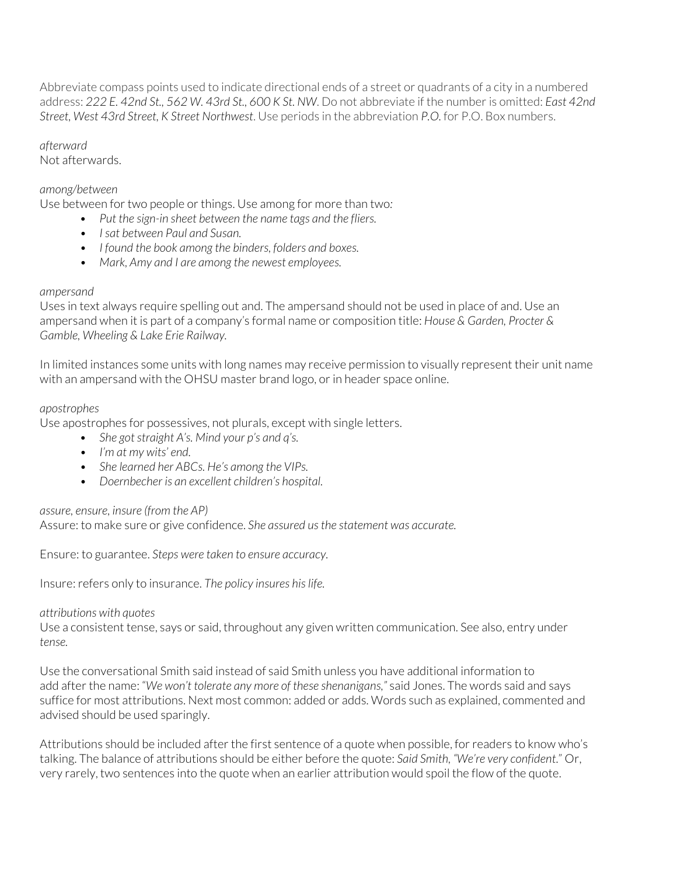Abbreviate compass points used to indicate directional ends of a street or quadrants of a city in a numbered address: *222 E. 42nd St., 562 W. 43rd St., 600 K St. NW*. Do not abbreviate if the number is omitted: *East 42nd Street, West 43rd Street, K Street Northwest*. Use periods in the abbreviation *P.O.* for P.O. Box numbers.

*afterward*

Not afterwards.

### *among/between*

Use between for two people or things. Use among for more than two*:*

- *Put the sign-in sheet between the name tags and the fliers.*
- *• I sat between Paul and Susan.*
- *• I found the book among the binders, folders and boxes.*
- *• Mark, Amy and I are among the newest employees.*

### *ampersand*

Uses in text always require spelling out and. The ampersand should not be used in place of and. Use an ampersand when it is part of a company's formal name or composition title: *House & Garden, Procter & Gamble, Wheeling & Lake Erie Railway.* 

In limited instances some units with long names may receive permission to visually represent their unit name with an ampersand with the OHSU master brand logo, or in header space online.

### *apostrophes*

Use apostrophes for possessives, not plurals, except with single letters.

- *She got straight A's. Mind your p's and q's.*
- *• I'm at my wits' end.*
- *• She learned her ABCs. He's among the VIPs.*
- *• Doernbecher is an excellent children's hospital.*

### *assure, ensure, insure (from the AP)*

Assure: to make sure or give confidence. *She assured us the statement was accurate.*

Ensure: to guarantee. *Steps were taken to ensure accuracy.*

Insure: refers only to insurance. *The policy insures his life.* 

### *attributions with quotes*

Use a consistent tense, says or said, throughout any given written communication. See also, entry under *tense.*

Use the conversational Smith said instead of said Smith unless you have additional information to add after the name: "*We won't tolerate any more of these shenanigans,"* said Jones. The words said and says suffice for most attributions. Next most common: added or adds. Words such as explained, commented and advised should be used sparingly.

Attributions should be included after the first sentence of a quote when possible, for readers to know who's talking. The balance of attributions should be either before the quote: *Said Smith, "We're very confident*." Or, very rarely, two sentences into the quote when an earlier attribution would spoil the flow of the quote.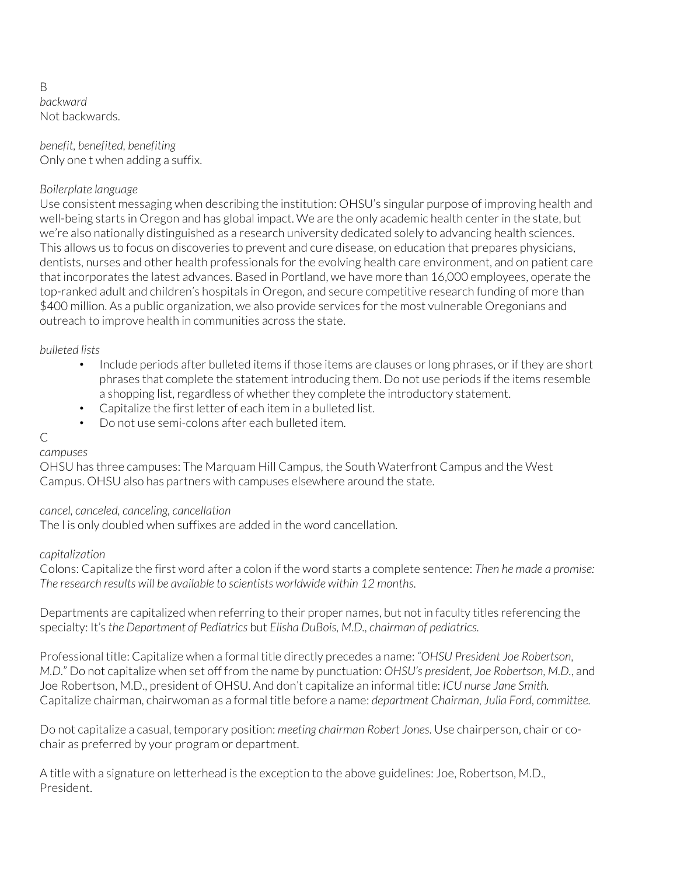B *backward* Not backwards.

*benefit, benefited, benefiting* Only one t when adding a suffix.

## *Boilerplate language*

Use consistent messaging when describing the institution: OHSU's singular purpose of improving health and well-being starts in Oregon and has global impact. We are the only academic health center in the state, but we're also nationally distinguished as a research university dedicated solely to advancing health sciences. This allows us to focus on discoveries to prevent and cure disease, on education that prepares physicians, dentists, nurses and other health professionals for the evolving health care environment, and on patient care that incorporates the latest advances. Based in Portland, we have more than 16,000 employees, operate the top-ranked adult and children's hospitals in Oregon, and secure competitive research funding of more than \$400 million. As a public organization, we also provide services for the most vulnerable Oregonians and outreach to improve health in communities across the state.

*bulleted lists*

- Include periods after bulleted items if those items are clauses or long phrases, or if they are short phrases that complete the statement introducing them. Do not use periods if the items resemble a shopping list, regardless of whether they complete the introductory statement.
- Capitalize the first letter of each item in a bulleted list.
- Do not use semi-colons after each bulleted item.

#### $\overline{C}$ *campuses*

OHSU has three campuses: The Marquam Hill Campus, the South Waterfront Campus and the West Campus. OHSU also has partners with campuses elsewhere around the state.

### *cancel, canceled, canceling, cancellation*

The l is only doubled when suffixes are added in the word cancellation.

### *capitalization*

Colons: Capitalize the first word after a colon if the word starts a complete sentence: *Then he made a promise: The research results will be available to scientists worldwide within 12 months.*

Departments are capitalized when referring to their proper names, but not in faculty titles referencing the specialty: It's *the Department of Pediatrics* but *Elisha DuBois, M.D., chairman of pediatrics.* 

Professional title: Capitalize when a formal title directly precedes a name: *"OHSU President Joe Robertson, M.D.*" Do not capitalize when set off from the name by punctuation: *OHSU's president, Joe Robertson, M.D.*, and Joe Robertson, M.D., president of OHSU. And don't capitalize an informal title: *ICU nurse Jane Smith.*  Capitalize chairman, chairwoman as a formal title before a name: *department Chairman, Julia Ford, committee.*

Do not capitalize a casual, temporary position: *meeting chairman Robert Jones.* Use chairperson, chair or cochair as preferred by your program or department.

A title with a signature on letterhead is the exception to the above guidelines: Joe, Robertson, M.D., President.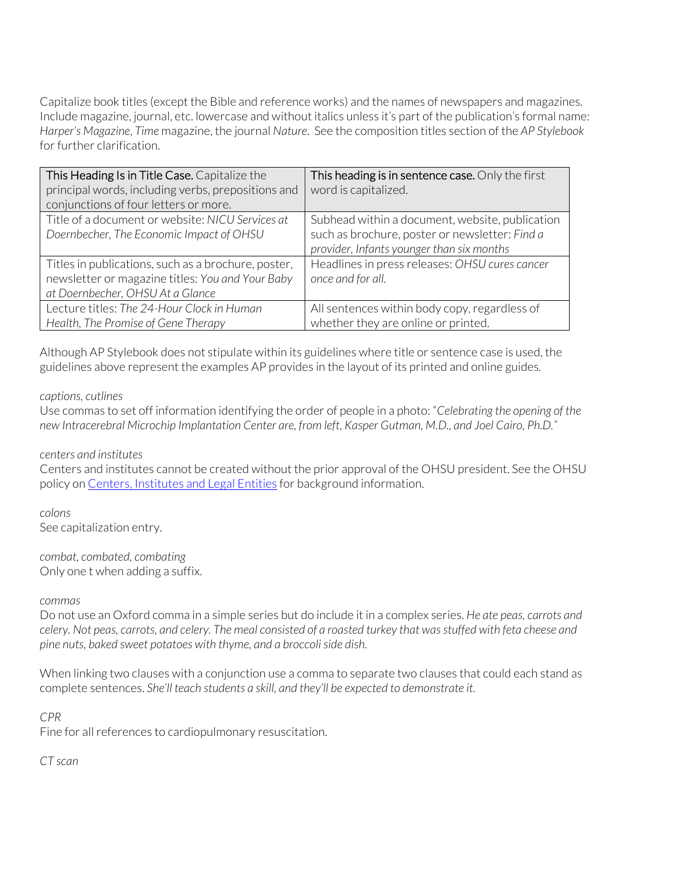Capitalize book titles (except the Bible and reference works) and the names of newspapers and magazines. Include magazine, journal, etc. lowercase and without italics unless it's part of the publication's formal name: *Harper's Magazine*, *Time* magazine, the journal *Nature*. See the composition titles section of the *AP Stylebook* for further clarification.

| This Heading Is in Title Case. Capitalize the       | This heading is in sentence case. Only the first |
|-----------------------------------------------------|--------------------------------------------------|
| principal words, including verbs, prepositions and  | word is capitalized.                             |
| conjunctions of four letters or more.               |                                                  |
| Title of a document or website: NICU Services at    | Subhead within a document, website, publication  |
| Doernbecher, The Economic Impact of OHSU            | such as brochure, poster or newsletter: Find a   |
|                                                     | provider, Infants younger than six months        |
| Titles in publications, such as a brochure, poster, | Headlines in press releases: OHSU cures cancer   |
| newsletter or magazine titles: You and Your Baby    | once and for all.                                |
| at Doernbecher, OHSU At a Glance                    |                                                  |
| Lecture titles: The 24-Hour Clock in Human          | All sentences within body copy, regardless of    |
| Health, The Promise of Gene Therapy                 | whether they are online or printed.              |

Although AP Stylebook does not stipulate within its guidelines where title or sentence case is used, the guidelines above represent the examples AP provides in the layout of its printed and online guides*.*

#### *captions, cutlines*

Use commas to set off information identifying the order of people in a photo: "*Celebrating the opening of the new Intracerebral Microchip Implantation Center are, from left, Kasper Gutman, M.D., and Joel Cairo, Ph.D."*

### *centers and institutes*

Centers and institutes cannot be created without the prior approval of the OHSU president. See the OHSU policy on Centers, Institutes and Legal Entities for background information.

*colons* See capitalization entry.

*combat, combated, combating* Only one t when adding a suffix.

#### *commas*

Do not use an Oxford comma in a simple series but do include it in a complex series. *He ate peas, carrots and celery. Not peas, carrots, and celery. The meal consisted of a roasted turkey that was stuffed with feta cheese and pine nuts, baked sweet potatoes with thyme, and a broccoli side dish.*

When linking two clauses with a conjunction use a comma to separate two clauses that could each stand as complete sentences. *She'll teach students a skill, and they'll be expected to demonstrate it.* 

### *CPR*

Fine for all references to cardiopulmonary resuscitation.

*CT scan*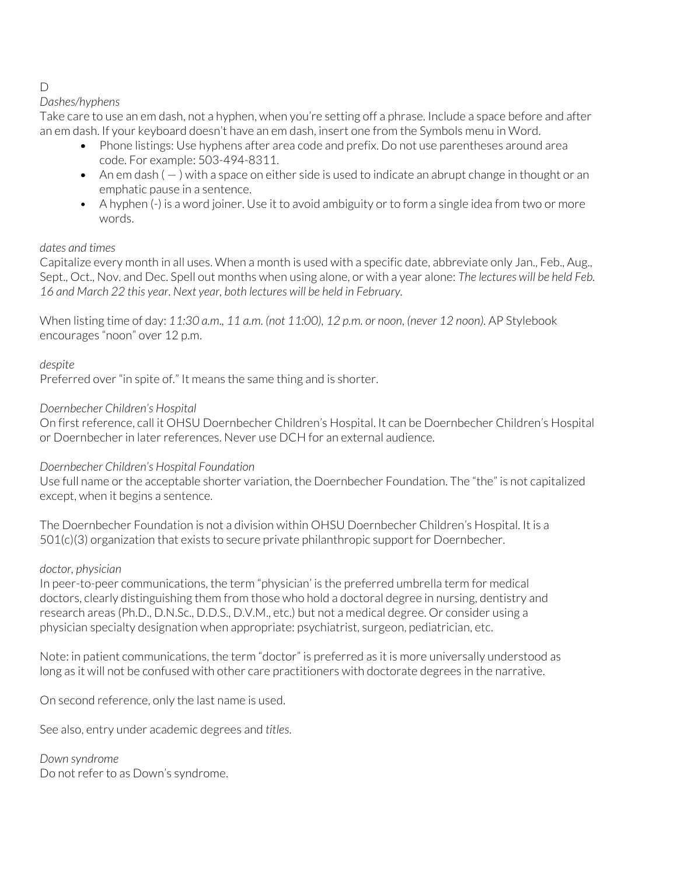# D

# *Dashes/hyphens*

Take care to use an em dash, not a hyphen, when you're setting off a phrase. Include a space before and after an em dash. If your keyboard doesn't have an em dash, insert one from the Symbols menu in Word.

- Phone listings: Use hyphens after area code and prefix. Do not use parentheses around area code. For example: 503-494-8311.
- An em dash ( ) with a space on either side is used to indicate an abrupt change in thought or an emphatic pause in a sentence.
- A hyphen (-) is a word joiner. Use it to avoid ambiguity or to form a single idea from two or more words.

# *dates and times*

Capitalize every month in all uses. When a month is used with a specific date, abbreviate only Jan., Feb., Aug., Sept., Oct., Nov. and Dec. Spell out months when using alone, or with a year alone: *The lectures will be held Feb. 16 and March 22 this year. Next year, both lectures will be held in February.*

When listing time of day: *11:30 a.m., 11 a.m. (not 11:00), 12 p.m. or noon, (never 12 noon).* AP Stylebook encourages "noon" over 12 p.m.

# *despite*

Preferred over "in spite of." It means the same thing and is shorter.

# *Doernbecher Children's Hospital*

On first reference, call it OHSU Doernbecher Children's Hospital. It can be Doernbecher Children's Hospital or Doernbecher in later references. Never use DCH for an external audience.

# *Doernbecher Children's Hospital Foundation*

Use full name or the acceptable shorter variation, the Doernbecher Foundation. The "the" is not capitalized except, when it begins a sentence.

The Doernbecher Foundation is not a division within OHSU Doernbecher Children's Hospital. It is a 501(c)(3) organization that exists to secure private philanthropic support for Doernbecher.

# *doctor, physician*

In peer-to-peer communications, the term "physician' is the preferred umbrella term for medical doctors, clearly distinguishing them from those who hold a doctoral degree in nursing, dentistry and research areas (Ph.D., D.N.Sc., D.D.S., D.V.M., etc.) but not a medical degree. Or consider using a physician specialty designation when appropriate: psychiatrist, surgeon, pediatrician, etc.

Note: in patient communications, the term "doctor" is preferred as it is more universally understood as long as it will not be confused with other care practitioners with doctorate degrees in the narrative.

On second reference, only the last name is used.

See also, entry under academic degrees and *titles*.

*Down syndrome* Do not refer to as Down's syndrome.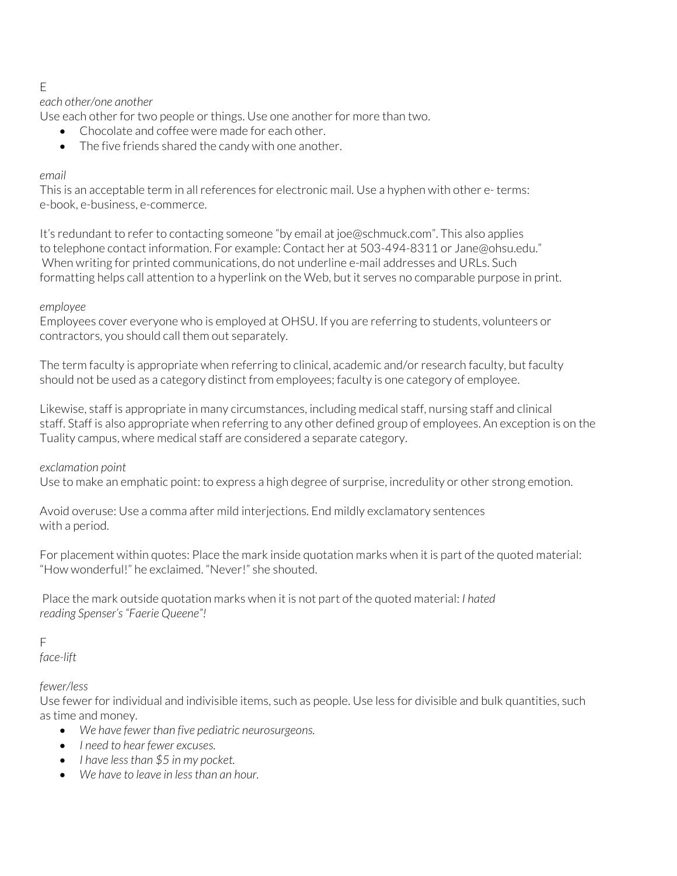## E

### *each other/one another*

Use each other for two people or things. Use one another for more than two.

- Chocolate and coffee were made for each other.
- The five friends shared the candy with one another.

#### *email*

This is an acceptable term in all references for electronic mail. Use a hyphen with other e- terms: e-book, e-business, e-commerce.

It's redundant to refer to contacting someone "by email at joe@schmuck.com". This also applies to telephone contact information. For example: Contact her at 503-494-8311 or Jane@ohsu.edu." When writing for printed communications, do not underline e-mail addresses and URLs. Such formatting helps call attention to a hyperlink on the Web, but it serves no comparable purpose in print.

#### *employee*

Employees cover everyone who is employed at OHSU. If you are referring to students, volunteers or contractors, you should call them out separately.

The term faculty is appropriate when referring to clinical, academic and/or research faculty, but faculty should not be used as a category distinct from employees; faculty is one category of employee.

Likewise, staff is appropriate in many circumstances, including medical staff, nursing staff and clinical staff. Staff is also appropriate when referring to any other defined group of employees. An exception is on the Tuality campus, where medical staff are considered a separate category.

### *exclamation point*

Use to make an emphatic point: to express a high degree of surprise, incredulity or other strong emotion.

Avoid overuse: Use a comma after mild interjections. End mildly exclamatory sentences with a period.

For placement within quotes: Place the mark inside quotation marks when it is part of the quoted material: "How wonderful!" he exclaimed. "Never!" she shouted.

Place the mark outside quotation marks when it is not part of the quoted material: *I hated reading Spenser's "Faerie Queene"!*

# F

*face-lift*

### *fewer/less*

Use fewer for individual and indivisible items, such as people. Use less for divisible and bulk quantities, such as time and money.

- *We have fewer than five pediatric neurosurgeons.*
- *I need to hear fewer excuses.*
- *I have less than \$5 in my pocket.*
- *We have to leave in less than an hour.*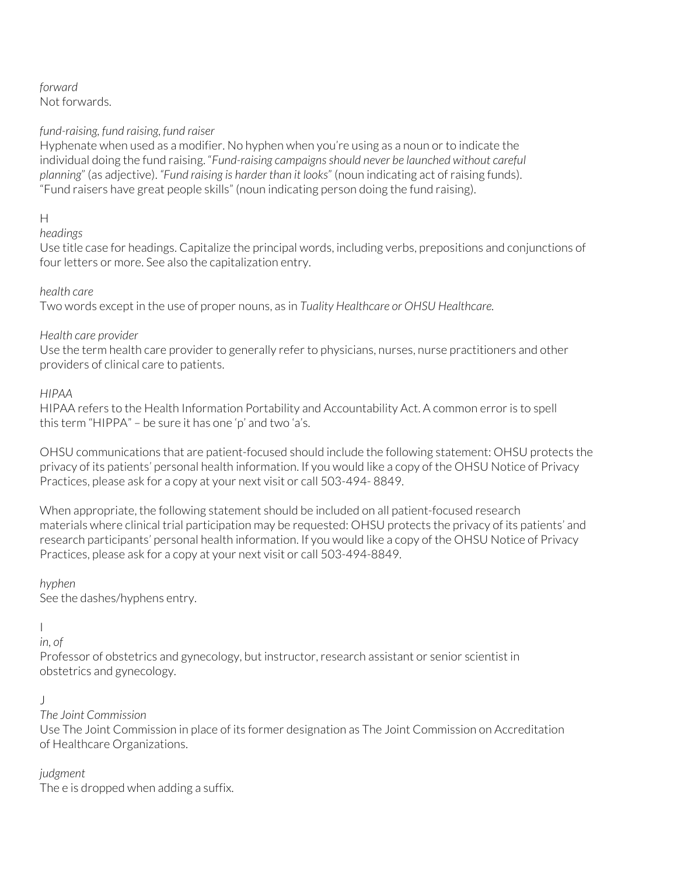#### *forward*  Not forwards.

## *fund-raising, fund raising, fund raiser*

Hyphenate when used as a modifier. No hyphen when you're using as a noun or to indicate the individual doing the fund raising. "*Fund-raising campaigns should never be launched without careful planning*" (as adjective). *"Fund raising is harder than it looks*" (noun indicating act of raising funds). "Fund raisers have great people skills" (noun indicating person doing the fund raising).

# H

# *headings*

Use title case for headings. Capitalize the principal words, including verbs, prepositions and conjunctions of four letters or more. See also the capitalization entry.

### *health care*

Two words except in the use of proper nouns, as in *Tuality Healthcare or OHSU Healthcare.*

### *Health care provider*

Use the term health care provider to generally refer to physicians, nurses, nurse practitioners and other providers of clinical care to patients.

### *HIPAA*

HIPAA refers to the Health Information Portability and Accountability Act. A common error is to spell this term "HIPPA" – be sure it has one 'p' and two 'a's.

OHSU communications that are patient-focused should include the following statement: OHSU protects the privacy of its patients' personal health information. If you would like a copy of the OHSU Notice of Privacy Practices, please ask for a copy at your next visit or call 503-494- 8849.

When appropriate, the following statement should be included on all patient-focused research materials where clinical trial participation may be requested: OHSU protects the privacy of its patients' and research participants' personal health information. If you would like a copy of the OHSU Notice of Privacy Practices, please ask for a copy at your next visit or call 503-494-8849.

### *hyphen*

See the dashes/hyphens entry.

# $\overline{1}$

*in, of*

Professor of obstetrics and gynecology, but instructor, research assistant or senior scientist in obstetrics and gynecology.

### J

### *The Joint Commission*

Use The Joint Commission in place of its former designation as The Joint Commission on Accreditation of Healthcare Organizations.

# *judgment*

The e is dropped when adding a suffix.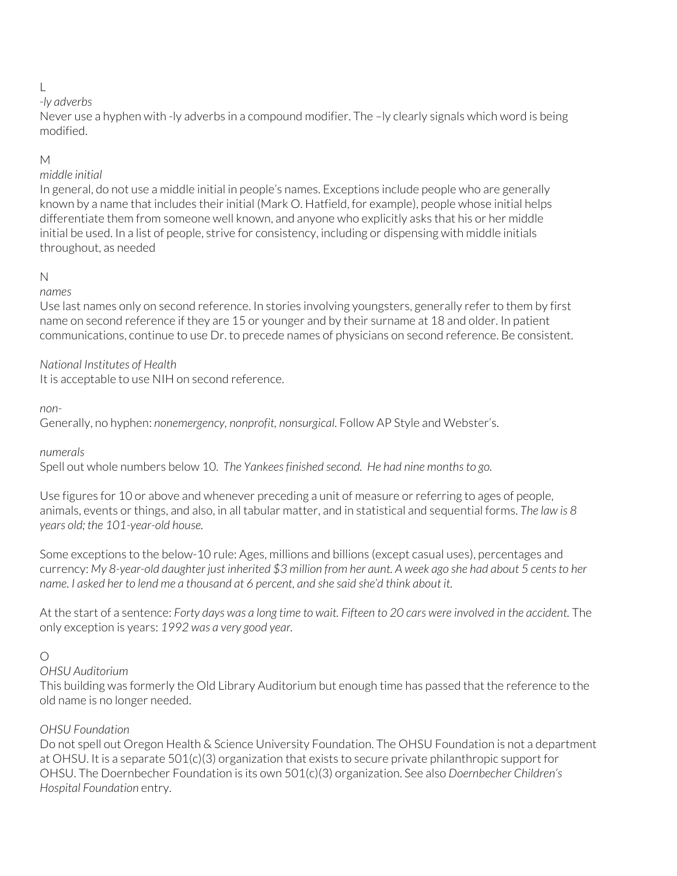# L

# *-ly adverbs*

Never use a hyphen with -ly adverbs in a compound modifier. The –ly clearly signals which word is being modified.

# M

# *middle initial*

In general, do not use a middle initial in people's names. Exceptions include people who are generally known by a name that includes their initial (Mark O. Hatfield, for example), people whose initial helps differentiate them from someone well known, and anyone who explicitly asks that his or her middle initial be used. In a list of people, strive for consistency, including or dispensing with middle initials throughout, as needed

# N

# *names*

Use last names only on second reference. In stories involving youngsters, generally refer to them by first name on second reference if they are 15 or younger and by their surname at 18 and older. In patient communications, continue to use Dr. to precede names of physicians on second reference. Be consistent.

# *National Institutes of Health*

It is acceptable to use NIH on second reference.

# *non-*

Generally, no hyphen: *nonemergency, nonprofit, nonsurgical*. Follow AP Style and Webster's.

# *numerals*

Spell out whole numbers below 10. *The Yankees finished second. He had nine months to go.*

Use figures for 10 or above and whenever preceding a unit of measure or referring to ages of people, animals, events or things, and also, in all tabular matter, and in statistical and sequential forms. *The law is 8 years old; the 101-year-old house.*

Some exceptions to the below-10 rule: Ages, millions and billions (except casual uses), percentages and currency: *My 8-year-old daughter just inherited \$3 million from her aunt. A week ago she had about 5 cents to her name. I asked her to lend me a thousand at 6 percent, and she said she'd think about it.*

At the start of a sentence: *Forty days was a long time to wait. Fifteen to 20 cars were involved in the accident.* The only exception is years: *1992 was a very good year.*

# $\bigcap$

# *OHSU Auditorium*

This building was formerly the Old Library Auditorium but enough time has passed that the reference to the old name is no longer needed.

# *OHSU Foundation*

Do not spell out Oregon Health & Science University Foundation. The OHSU Foundation is not a department at OHSU. It is a separate 501(c)(3) organization that exists to secure private philanthropic support for OHSU. The Doernbecher Foundation is its own 501(c)(3) organization. See also *Doernbecher Children's Hospital Foundation* entry.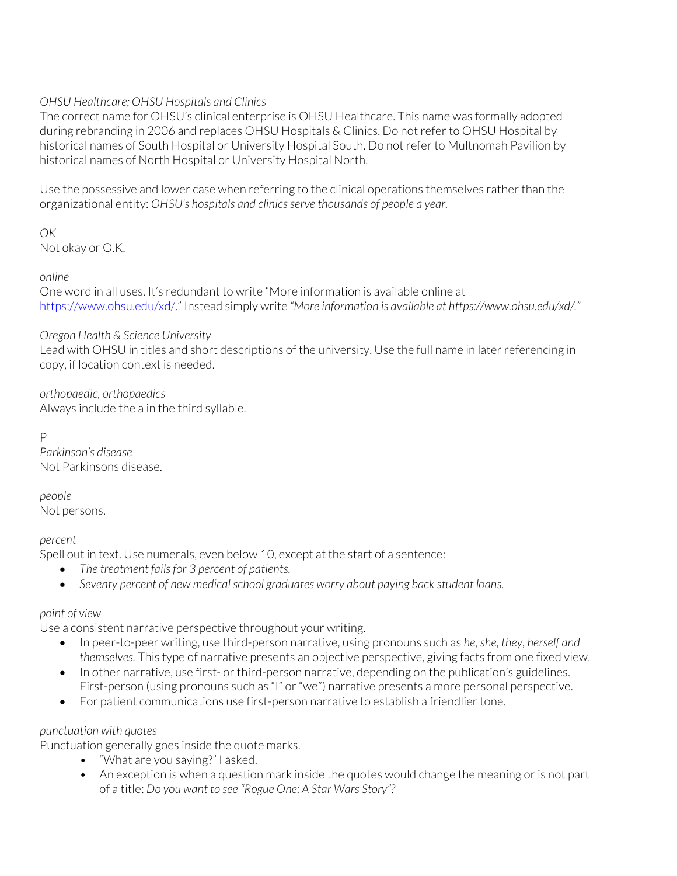## *OHSU Healthcare; OHSU Hospitals and Clinics*

The correct name for OHSU's clinical enterprise is OHSU Healthcare. This name was formally adopted during rebranding in 2006 and replaces OHSU Hospitals & Clinics. Do not refer to OHSU Hospital by historical names of South Hospital or University Hospital South. Do not refer to Multnomah Pavilion by historical names of North Hospital or University Hospital North.

Use the possessive and lower case when referring to the clinical operations themselves rather than the organizational entity: *OHSU's hospitals and clinics serve thousands of people a year.*

*OK*

Not okay or O.K.

*online*

One word in all uses. It's redundant to write "More information is available online at https://www.ohsu.edu/xd/." Instead simply write *"More information is available at https://www.ohsu.edu/xd/."*

### *Oregon Health & Science University*

Lead with OHSU in titles and short descriptions of the university. Use the full name in later referencing in copy, if location context is needed.

*orthopaedic, orthopaedics* Always include the a in the third syllable.

P

*Parkinson's disease* Not Parkinsons disease.

*people* Not persons.

### *percent*

Spell out in text. Use numerals, even below 10, except at the start of a sentence:

- *The treatment fails for 3 percent of patients.*
- *Seventy percent of new medical school graduates worry about paying back student loans.*

### *point of view*

Use a consistent narrative perspective throughout your writing.

- In peer-to-peer writing, use third-person narrative, using pronouns such as *he, she, they, herself and themselves.* This type of narrative presents an objective perspective, giving facts from one fixed view.
- In other narrative, use first- or third-person narrative, depending on the publication's guidelines. First-person (using pronouns such as "I" or "we") narrative presents a more personal perspective.
- For patient communications use first-person narrative to establish a friendlier tone.

# *punctuation with quotes*

Punctuation generally goes inside the quote marks.

- "What are you saying?" I asked.
- An exception is when a question mark inside the quotes would change the meaning or is not part of a title: *Do you want to see "Rogue One: A Star Wars Story"?*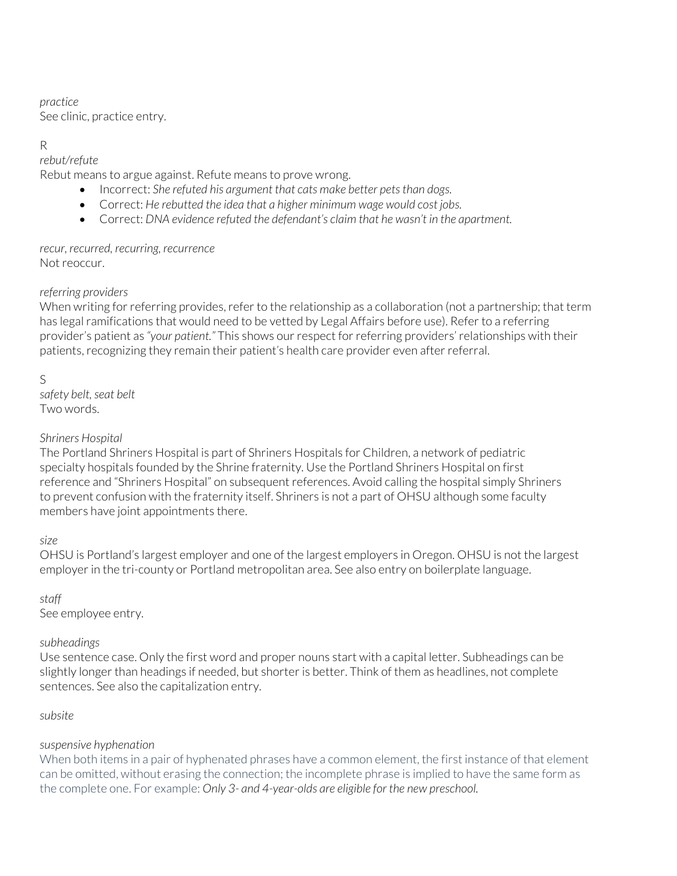### *practice*

See clinic, practice entry.

# R

# *rebut/refute*

Rebut means to argue against. Refute means to prove wrong.

- Incorrect: *She refuted his argument that cats make better pets than dogs.*
- Correct: *He rebutted the idea that a higher minimum wage would cost jobs.*
- Correct: *DNA evidence refuted the defendant's claim that he wasn't in the apartment.*

### *recur, recurred, recurring, recurrence* Not reoccur.

# *referring providers*

When writing for referring provides, refer to the relationship as a collaboration (not a partnership; that term has legal ramifications that would need to be vetted by Legal Affairs before use). Refer to a referring provider's patient as *"your patient."* This shows our respect for referring providers' relationships with their patients, recognizing they remain their patient's health care provider even after referral.

# S

*safety belt, seat belt* Two words.

# *Shriners Hospital*

The Portland Shriners Hospital is part of Shriners Hospitals for Children, a network of pediatric specialty hospitals founded by the Shrine fraternity. Use the Portland Shriners Hospital on first reference and "Shriners Hospital" on subsequent references. Avoid calling the hospital simply Shriners to prevent confusion with the fraternity itself. Shriners is not a part of OHSU although some faculty members have joint appointments there.

# *size*

OHSU is Portland's largest employer and one of the largest employers in Oregon. OHSU is not the largest employer in the tri-county or Portland metropolitan area. See also entry on boilerplate language.

# *staff*

See employee entry.

# *subheadings*

Use sentence case. Only the first word and proper nouns start with a capital letter. Subheadings can be slightly longer than headings if needed, but shorter is better. Think of them as headlines, not complete sentences. See also the capitalization entry.

# *subsite*

# *suspensive hyphenation*

When both items in a pair of hyphenated phrases have a common element, the first instance of that element can be omitted, without erasing the connection; the incomplete phrase is implied to have the same form as the complete one. For example: *Only 3- and 4-year-olds are eligible for the new preschool.*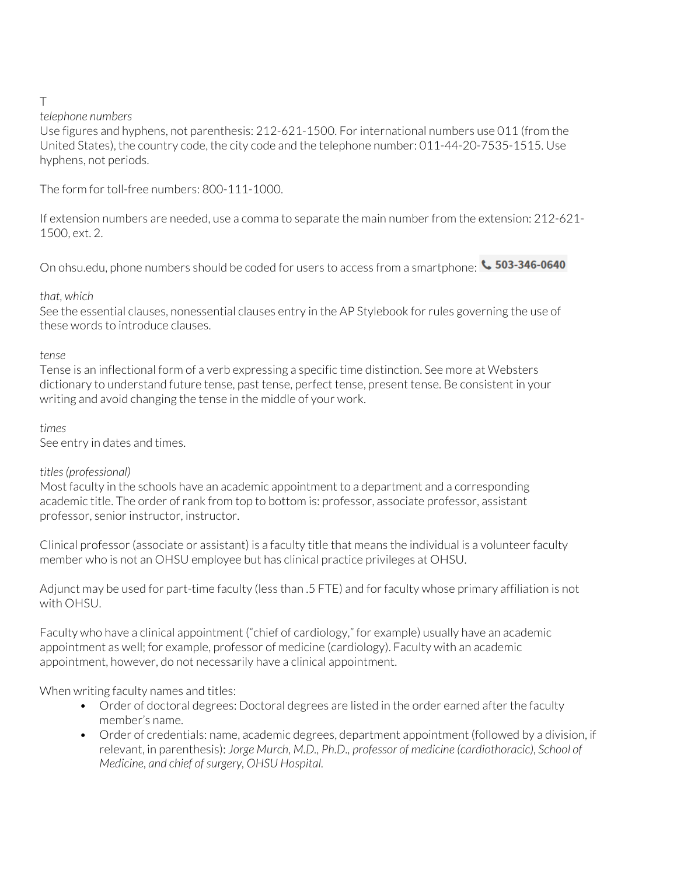# T

### *telephone numbers*

Use figures and hyphens, not parenthesis: 212-621-1500. For international numbers use 011 (from the United States), the country code, the city code and the telephone number: 011-44-20-7535-1515. Use hyphens, not periods.

The form for toll-free numbers: 800-111-1000.

If extension numbers are needed, use a comma to separate the main number from the extension: 212-621- 1500, ext. 2.

On ohsu.edu, phone numbers should be coded for users to access from a smartphone:  $\cdot$  503-346-0640

# *that, which*

See the essential clauses, nonessential clauses entry in the AP Stylebook for rules governing the use of these words to introduce clauses.

### *tense*

Tense is an inflectional form of a verb expressing a specific time distinction. See more at Websters dictionary to understand future tense, past tense, perfect tense, present tense. Be consistent in your writing and avoid changing the tense in the middle of your work.

# *times*

See entry in dates and times.

# *titles (professional)*

Most faculty in the schools have an academic appointment to a department and a corresponding academic title. The order of rank from top to bottom is: professor, associate professor, assistant professor, senior instructor, instructor.

Clinical professor (associate or assistant) is a faculty title that means the individual is a volunteer faculty member who is not an OHSU employee but has clinical practice privileges at OHSU.

Adjunct may be used for part-time faculty (less than .5 FTE) and for faculty whose primary affiliation is not with OHSU.

Faculty who have a clinical appointment ("chief of cardiology," for example) usually have an academic appointment as well; for example, professor of medicine (cardiology). Faculty with an academic appointment, however, do not necessarily have a clinical appointment.

When writing faculty names and titles:

- Order of doctoral degrees: Doctoral degrees are listed in the order earned after the faculty member's name.
- Order of credentials: name, academic degrees, department appointment (followed by a division, if relevant, in parenthesis): *Jorge Murch, M.D., Ph.D., professor of medicine (cardiothoracic), School of Medicine, and chief of surgery, OHSU Hospital.*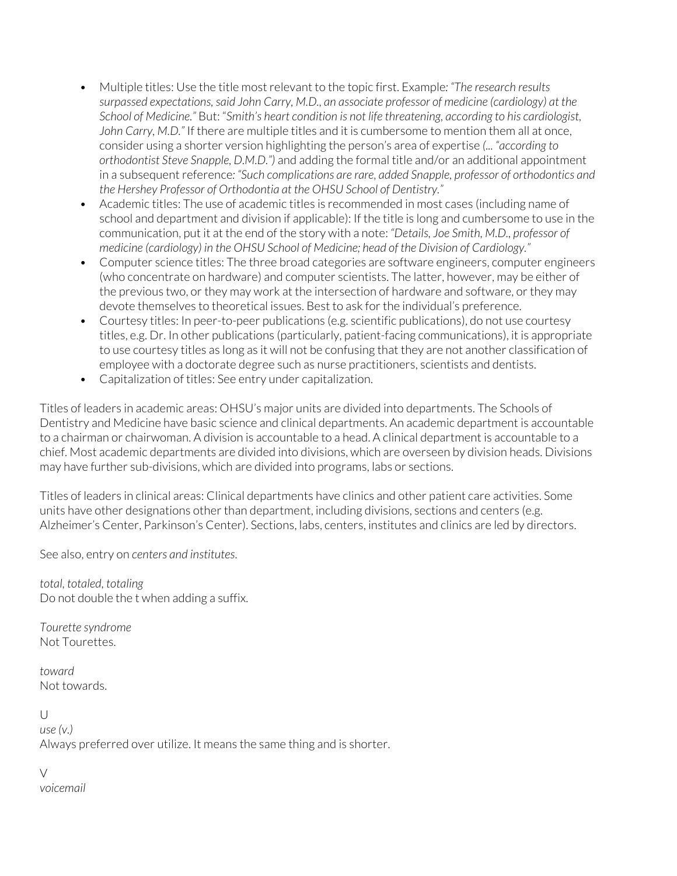- Multiple titles: Use the title most relevant to the topic first. Example*: "The research results surpassed expectations, said John Carry, M.D., an associate professor of medicine (cardiology) at the School of Medicine."* But: "*Smith's heart condition is not life threatening, according to his cardiologist, John Carry, M.D."* If there are multiple titles and it is cumbersome to mention them all at once, consider using a shorter version highlighting the person's area of expertise *(... "according to orthodontist Steve Snapple, D.M.D.")* and adding the formal title and/or an additional appointment in a subsequent reference*: "Such complications are rare, added Snapple, professor of orthodontics and the Hershey Professor of Orthodontia at the OHSU School of Dentistry."*
- Academic titles: The use of academic titles is recommended in most cases (including name of school and department and division if applicable): If the title is long and cumbersome to use in the communication, put it at the end of the story with a note: *"Details, Joe Smith, M.D., professor of medicine (cardiology) in the OHSU School of Medicine; head of the Division of Cardiology."*
- Computer science titles: The three broad categories are software engineers, computer engineers (who concentrate on hardware) and computer scientists. The latter, however, may be either of the previous two, or they may work at the intersection of hardware and software, or they may devote themselves to theoretical issues. Best to ask for the individual's preference.
- Courtesy titles: In peer-to-peer publications (e.g. scientific publications), do not use courtesy titles, e.g. Dr. In other publications (particularly, patient-facing communications), it is appropriate to use courtesy titles as long as it will not be confusing that they are not another classification of employee with a doctorate degree such as nurse practitioners, scientists and dentists.
- Capitalization of titles: See entry under capitalization.

Titles of leaders in academic areas: OHSU's major units are divided into departments. The Schools of Dentistry and Medicine have basic science and clinical departments. An academic department is accountable to a chairman or chairwoman. A division is accountable to a head. A clinical department is accountable to a chief. Most academic departments are divided into divisions, which are overseen by division heads. Divisions may have further sub-divisions, which are divided into programs, labs or sections.

Titles of leaders in clinical areas: Clinical departments have clinics and other patient care activities. Some units have other designations other than department, including divisions, sections and centers (e.g. Alzheimer's Center, Parkinson's Center). Sections, labs, centers, institutes and clinics are led by directors.

See also, entry on *centers and institutes*.

*total, totaled, totaling* Do not double the t when adding a suffix.

*Tourette syndrome* Not Tourettes.

*toward* Not towards.

 $\cup$ *use (v.)* Always preferred over utilize. It means the same thing and is shorter.

 $\vee$ 

*voicemail*